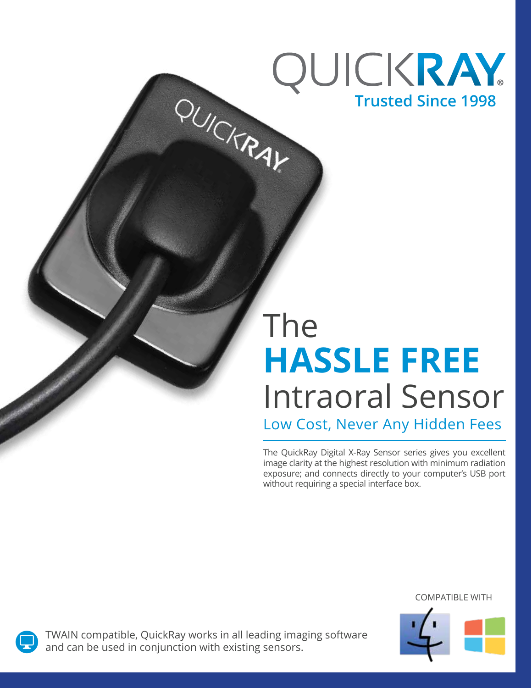# QUICKRAY PUICKRAY **Trusted Since 1998**

# The **HASSLE FREE** Intraoral Sensor

Low Cost, Never Any Hidden Fees

The QuickRay Digital X-Ray Sensor series gives you excellent image clarity at the highest resolution with minimum radiation exposure; and connects directly to your computer's USB port without requiring a special interface box.

#### COMPATIBLE WITH





TWAIN compatible, QuickRay works in all leading imaging software and can be used in conjunction with existing sensors.